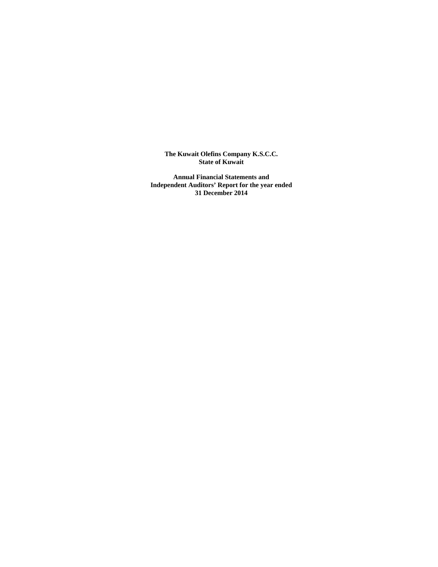**The Kuwait Olefins Company K.S.C.C. State of Kuwait** 

**Annual Financial Statements and Independent Auditors' Report for the year ended 31 December 2014**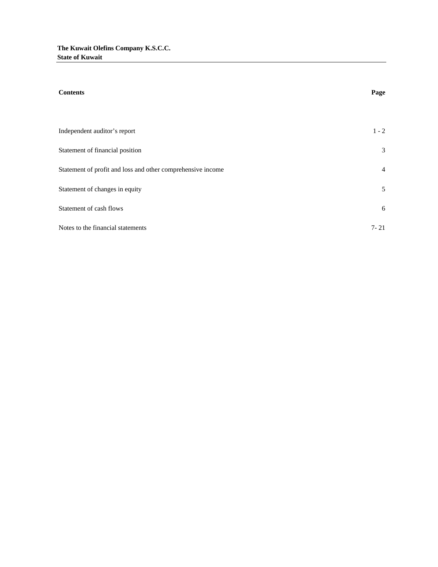| <b>Contents</b>                                             | Page           |
|-------------------------------------------------------------|----------------|
|                                                             |                |
| Independent auditor's report                                | $1 - 2$        |
| Statement of financial position                             | 3              |
| Statement of profit and loss and other comprehensive income | $\overline{4}$ |
| Statement of changes in equity                              | 5              |
| Statement of cash flows                                     | 6              |
| Notes to the financial statements                           | $7 - 21$       |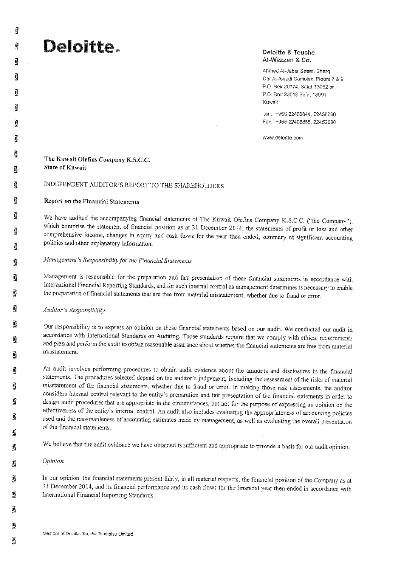## Deloitte.

#### Deloitte & Touche Al-Wazzan & Co.

Ahmed Al-Jaber Street, Sharq Dar Al-Awadi Complex, Floors 7 & 9 P.O. Box 20174, Safat 13062 or P.O. Box 23049 Safat 13091 Kuwait

Tel: +965 22408844, 22438060 Fax: +965 22408855, 22452080

www.deloitte.com

#### The Kuwait Olefins Company K.S.C.C. **State of Knwait**

## INDEPENDENT AUDITOR'S REPORT TO THE SHAREHOLDERS

#### Report on the Financial Statements

We have audited the accompanying financial statements of The Kuwait Olefins Company K.S.C.C. ("the Company"), which comprise the statement of financial position as at 31 December 2014, the statements of profit or loss and other comprehensive income, changes in equity and cash flows for the year then ended, summary of significant accounting policies and other explanatory information.

## Management's Responsibility for the Financial Statements

Management is responsible for the preparation and fair presentation of these financial statements in accordance with International Financial Reporting Standards, and for such internal control as management determines is necessary to enable the preparation of financial statements that are free from material misstatement, whether due to fraud or error.

Auditor's Responsibility

Our responsibility is to express an opinion on these financial statements based on our audit. We conducted our audit in accordance with International Standards on Auditing. Those standards require that we comply with ethical requirements and plan and perform the audit to obtain reasonable assurance about whether the financial statements are free from material misstatement.

An audit involves performing procedures to obtain audit evidence about the amounts and disclosures in the financial statements. The procedures selected depend on the auditor's judgement, including the assessment of the risks of material misstatement of the financial statements, whether due to fraud or error. In making those risk assessments, the auditor considers internal control relevant to the entity's preparation and fair presentation of the financial statements in order to design audit procedures that are appropriate in the circumstances, but not for the purpose of expressing an opinion on the effectiveness of the entity's internal control. An audit also includes evaluating the appropriateness of accounting policies used and the reasonableness of accounting estimates made by management, as well as evaluating the overall presentation of the financial statements.

We believe that the audit evidence we have obtained is sufficient and appropriate to provide a basis for our audit opinion.

Opinion

In our opinion, the financial statements present fairly, in all material respects, the financial position of the Company as at 31 December 2014, and its financial performance and its cash flows for the financial year then ended in accordance with International Financial Reporting Standards.

谲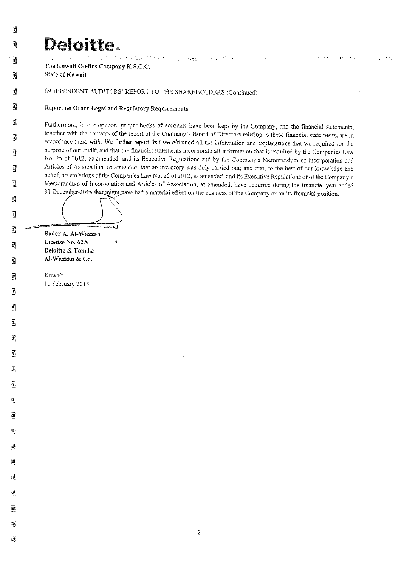# Deloitte.

.<br>Professional property of the second property of the second property of the second property of the second property of the second property of the second property of the second property of the second property of the second The Kuwait Olefins Company K.S.C.C.

**State of Kuwait** 

遭

 $\overline{\mathbf{a}}$ 

寶

Ŋ

쿌

 $\overline{u}$ 

F,

蘭

đ

谮

鼀

 $\vec{z}$ 

াৰ

200

đ

调

國

禢

阉

灢

瀷

霷

翼

灟

A,

靏

國

虱

灞

70.

 $\overline{\mathbf{B}}_j$ 

Ø

邁

屫

INDEPENDENT AUDITORS' REPORT TO THE SHAREHOLDERS (Continued)

## Report on Other Legal and Regulatory Requirements

Furthermore, in our opinion, proper books of accounts have been kept by the Company, and the financial statements, together with the contents of the report of the Company's Board of Directors relating to these financial statements, are in accordance there with. We further report that we obtained all the information and explanations that we required for the purpose of our audit; and that the financial statements incorporate all information that is required by the Companies Law No. 25 of 2012, as amended, and its Executive Regulations and by the Company's Memorandum of Incorporation and Articles of Association, as amended, that an inventory was duly carried out; and that, to the best of our knowledge and belief, no violations of the Companies Law No. 25 of 2012, as amended, and its Executive Regulations or of the Company's Memorandum of Incorporation and Articles of Association, as amended, have occurred during the financial year ended 31 December 2014 that might have had a material effect on the business of the Company or on its financial position.

 $\sim 100$  km s  $^{-1}$ 

The absolution of the Adventured American magnitudes

Bader A. Al-Wazzan License No. 62A Deloitte & Touche Al-Wazzan & Co.

Kuwait 11 February 2015

 $\overline{2}$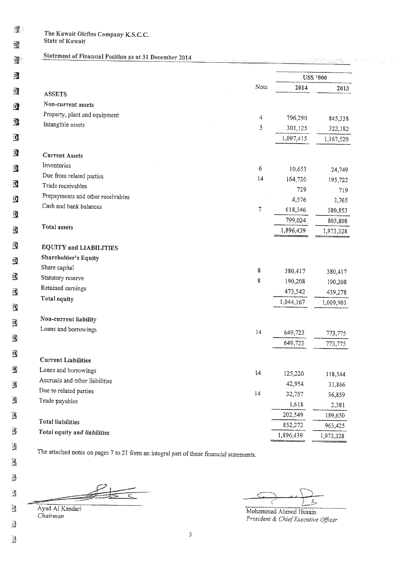课  $\mathbb{R}$ 

The Kuwait Olefins Company K.S.C.C. State of Kuwait

#### Statement of Financial Position as at 31 December 2014  $\mathbf{J}$

| 颾 |                                   |        |                  | <b>USS</b> '000  |
|---|-----------------------------------|--------|------------------|------------------|
|   |                                   | Note   | 2014             | 2013             |
| 躔 | ASSETS                            |        |                  |                  |
| 薄 | Non-current assets                |        |                  |                  |
|   | Property, plant and equipment     | 4      | 796,290          | 845,338          |
| I | Intangible assets                 | 5      | 301,125          | 322,182          |
| J |                                   |        | 1,097,415        | 1,167,520        |
| I | <b>Current Assets</b>             |        |                  |                  |
| 邁 | Inventories                       | 6      | 10,653           | 24,749           |
|   | Due from related parties          | $14\,$ | 164,720          | 195,722          |
| Ï | Trade receivables                 |        | 729              | 719              |
| Q | Prepayments and other receivables |        | 4,576            | 3,765            |
|   | Cash and bank balances            | 7      | 618,346          | 580,853          |
| 蠒 |                                   |        | 799,024          | 805,808          |
| 國 | Total assets                      |        | 1,896,439        | 1,973,328        |
| 蠒 | <b>EQUITY and LIABILITIES</b>     |        |                  |                  |
| 骥 | Shareholder's Equity              |        |                  |                  |
|   | Share capital                     | 8      | 380,417          | 380,417          |
| ₫ | Statutory reserve                 | 8      | 190,208          | 190,208          |
| I | Retained earnings                 |        | 473,542          | 439,278          |
|   | Total equity                      |        | 1,044,167        | 1,009,903        |
| 靄 |                                   |        |                  |                  |
| 灋 | Non-current liability             |        |                  |                  |
|   | Loans and borrowings              | 14     | 649,723          | 773,775          |
| ı |                                   |        | 649,723          | 773,775          |
| Q | <b>Current Liabilities</b>        |        |                  |                  |
| 龒 | Loans and borrowings              | 14     |                  |                  |
|   | Accruals and other liabilities    |        | 125,220          | 118,544          |
| 灋 | Due to related parties            | $14\,$ | 42,954<br>32,757 | 31.866           |
| À | Trade payables                    |        | 1,618            | 36,859           |
| Ã |                                   |        | 202,549          | 2,381<br>189,650 |
|   | Total liabilities                 |        | 852,272          | 963,425          |
| 瀍 | Total equity and liabilities      |        | 1,896,439        | 1,973,328        |

The attached notes on pages 7 to 21 form an integral part of these financial statements.

 $\overline{c}$ 

Ayad Al Kandari Chairman

 $\mathcal{Q}$ 

鳳

 $\vec{y}$ 

謱

 $\mathbb{N}$ 

 $\frac{1}{2}$ 

 $\frac{1}{\sqrt{2}}$ 

 $\frac{2}{2}$ 

Mohammad Ahmed Husain President & Chief Executive Officer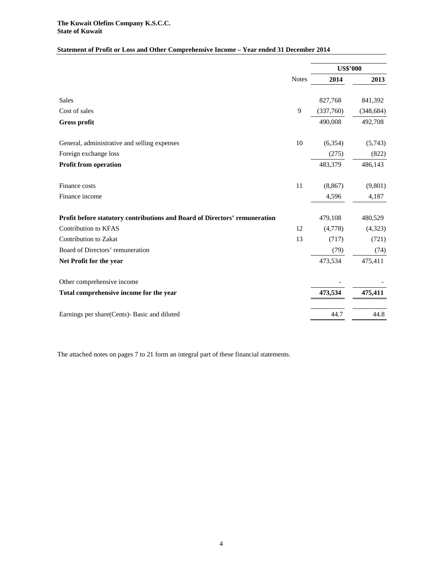## **Statement of Profit or Loss and Other Comprehensive Income – Year ended 31 December 2014**

|                                                                            |              | <b>US\$'000</b> |            |
|----------------------------------------------------------------------------|--------------|-----------------|------------|
|                                                                            | <b>Notes</b> | 2014            | 2013       |
| Sales                                                                      |              | 827,768         | 841,392    |
| Cost of sales                                                              | 9            | (337,760)       | (348, 684) |
| <b>Gross profit</b>                                                        |              | 490,008         | 492,708    |
| General, administrative and selling expenses                               | 10           | (6, 354)        | (5,743)    |
| Foreign exchange loss                                                      |              | (275)           | (822)      |
| <b>Profit from operation</b>                                               |              | 483,379         | 486,143    |
| Finance costs                                                              | 11           | (8, 867)        | (9,801)    |
| Finance income                                                             |              | 4,596           | 4,187      |
| Profit before statutory contributions and Board of Directors' remuneration |              | 479,108         | 480,529    |
| <b>Contribution to KFAS</b>                                                | 12           | (4,778)         | (4,323)    |
| Contribution to Zakat                                                      | 13           | (717)           | (721)      |
| Board of Directors' remuneration                                           |              | (79)            | (74)       |
| Net Profit for the year                                                    |              | 473,534         | 475,411    |
| Other comprehensive income                                                 |              |                 |            |
| Total comprehensive income for the year                                    |              | 473,534         | 475,411    |
| Earnings per share(Cents)- Basic and diluted                               |              | 44.7            | 44.8       |

The attached notes on pages 7 to 21 form an integral part of these financial statements.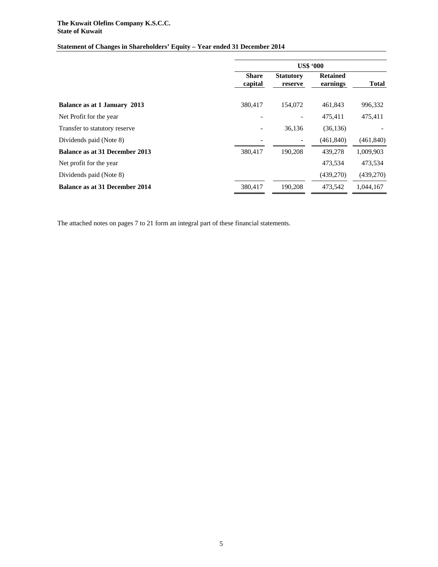#### **The Kuwait Olefins Company K.S.C.C. State of Kuwait**

## **Statement of Changes in Shareholders' Equity** *–* **Year ended 31 December 2014**

|                                | <b>US\$ '000</b>         |                             |                             |              |
|--------------------------------|--------------------------|-----------------------------|-----------------------------|--------------|
|                                | <b>Share</b><br>capital  | <b>Statutory</b><br>reserve | <b>Retained</b><br>earnings | <b>Total</b> |
| Balance as at 1 January 2013   | 380,417                  | 154,072                     | 461,843                     | 996,332      |
| Net Profit for the year        |                          | $\overline{\phantom{a}}$    | 475.411                     | 475,411      |
| Transfer to statutory reserve  | $\overline{\phantom{0}}$ | 36,136                      | (36, 136)                   |              |
| Dividends paid (Note 8)        |                          |                             | (461, 840)                  | (461, 840)   |
| Balance as at 31 December 2013 | 380,417                  | 190.208                     | 439,278                     | 1,009,903    |
| Net profit for the year        |                          |                             | 473,534                     | 473,534      |
| Dividends paid (Note 8)        |                          |                             | (439,270)                   | (439,270)    |
| Balance as at 31 December 2014 | 380,417                  | 190,208                     | 473,542                     | 1,044,167    |

The attached notes on pages 7 to 21 form an integral part of these financial statements.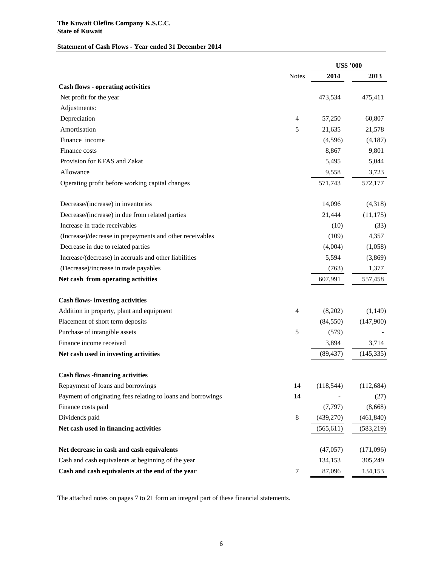#### **The Kuwait Olefins Company K.S.C.C. State of Kuwait**

## **Statement of Cash Flows - Year ended 31 December 2014**

|                                                              |                  | <b>US\$ '000</b> |            |
|--------------------------------------------------------------|------------------|------------------|------------|
|                                                              | <b>Notes</b>     | 2014             | 2013       |
| <b>Cash flows - operating activities</b>                     |                  |                  |            |
| Net profit for the year                                      |                  | 473,534          | 475,411    |
| Adjustments:                                                 |                  |                  |            |
| Depreciation                                                 | 4                | 57,250           | 60,807     |
| Amortisation                                                 | 5                | 21,635           | 21,578     |
| Finance income                                               |                  | (4,596)          | (4,187)    |
| Finance costs                                                |                  | 8,867            | 9,801      |
| Provision for KFAS and Zakat                                 |                  | 5,495            | 5,044      |
| Allowance                                                    |                  | 9,558            | 3,723      |
| Operating profit before working capital changes              |                  | 571,743          | 572,177    |
| Decrease/(increase) in inventories                           |                  | 14,096           | (4,318)    |
| Decrease/(increase) in due from related parties              |                  | 21,444           | (11, 175)  |
| Increase in trade receivables                                |                  | (10)             | (33)       |
| (Increase)/decrease in prepayments and other receivables     |                  | (109)            | 4,357      |
| Decrease in due to related parties                           |                  | (4,004)          | (1,058)    |
| Increase/(decrease) in accruals and other liabilities        |                  | 5,594            | (3,869)    |
| (Decrease)/increase in trade payables                        |                  | (763)            | 1,377      |
| Net cash from operating activities                           |                  | 607,991          | 557,458    |
| <b>Cash flows-investing activities</b>                       |                  |                  |            |
| Addition in property, plant and equipment                    | $\overline{4}$   | (8,202)          | (1,149)    |
| Placement of short term deposits                             |                  | (84, 550)        | (147,900)  |
| Purchase of intangible assets                                | 5                | (579)            |            |
| Finance income received                                      |                  | 3,894            | 3,714      |
| Net cash used in investing activities                        |                  | (89, 437)        | (145, 335) |
| <b>Cash flows -financing activities</b>                      |                  |                  |            |
| Repayment of loans and borrowings                            | 14               | (118, 544)       | (112, 684) |
| Payment of originating fees relating to loans and borrowings | 14               |                  | (27)       |
| Finance costs paid                                           |                  | (7, 797)         | (8,668)    |
| Dividends paid                                               | $\,8\,$          | (439,270)        | (461, 840) |
| Net cash used in financing activities                        |                  | (565, 611)       | (583, 219) |
| Net decrease in cash and cash equivalents                    |                  | (47,057)         | (171,096)  |
| Cash and cash equivalents at beginning of the year           |                  | 134,153          | 305,249    |
| Cash and cash equivalents at the end of the year             | $\boldsymbol{7}$ | 87,096           | 134,153    |

The attached notes on pages 7 to 21 form an integral part of these financial statements.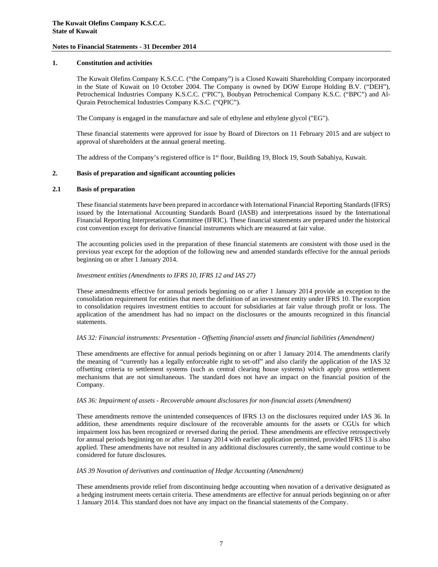#### **1. Constitution and activities**

The Kuwait Olefins Company K.S.C.C. ("the Company") is a Closed Kuwaiti Shareholding Company incorporated in the State of Kuwait on 10 October 2004. The Company is owned by DOW Europe Holding B.V. ("DEH"), Petrochemical Industries Company K.S.C.C. ("PIC"), Boubyan Petrochemical Company K.S.C. ("BPC") and Al-Qurain Petrochemical Industries Company K.S.C. ("QPIC").

The Company is engaged in the manufacture and sale of ethylene and ethylene glycol ("EG").

These financial statements were approved for issue by Board of Directors on 11 February 2015 and are subject to approval of shareholders at the annual general meeting.

The address of the Company's registered office is 1<sup>st</sup> floor, Building 19, Block 19, South Sabahiya, Kuwait.

#### **2. Basis of preparation and significant accounting policies**

#### **2.1 Basis of preparation**

These financial statements have been prepared in accordance with International Financial Reporting Standards (IFRS) issued by the International Accounting Standards Board (IASB) and interpretations issued by the International Financial Reporting Interpretations Committee (IFRIC). These financial statements are prepared under the historical cost convention except for derivative financial instruments which are measured at fair value.

The accounting policies used in the preparation of these financial statements are consistent with those used in the previous year except for the adoption of the following new and amended standards effective for the annual periods beginning on or after 1 January 2014.

#### *Investment entities (Amendments to IFRS 10, IFRS 12 and IAS 27)*

These amendments effective for annual periods beginning on or after 1 January 2014 provide an exception to the consolidation requirement for entities that meet the definition of an investment entity under IFRS 10. The exception to consolidation requires investment entities to account for subsidiaries at fair value through profit or loss. The application of the amendment has had no impact on the disclosures or the amounts recognized in this financial statements.

#### *IAS 32: Financial instruments: Presentation - Offsetting financial assets and financial liabilities (Amendment)*

These amendments are effective for annual periods beginning on or after 1 January 2014. The amendments clarify the meaning of "currently has a legally enforceable right to set-off" and also clarify the application of the IAS 32 offsetting criteria to settlement systems (such as central clearing house systems) which apply gross settlement mechanisms that are not simultaneous. The standard does not have an impact on the financial position of the Company.

#### *IAS 36: Impairment of assets - Recoverable amount disclosures for non-financial assets (Amendment)*

These amendments remove the unintended consequences of IFRS 13 on the disclosures required under IAS 36. In addition, these amendments require disclosure of the recoverable amounts for the assets or CGUs for which impairment loss has been recognized or reversed during the period. These amendments are effective retrospectively for annual periods beginning on or after 1 January 2014 with earlier application permitted, provided IFRS 13 is also applied. These amendments have not resulted in any additional disclosures currently, the same would continue to be considered for future disclosures.

#### *IAS 39 Novation of derivatives and continuation of Hedge Accounting (Amendment)*

These amendments provide relief from discontinuing hedge accounting when novation of a derivative designated as a hedging instrument meets certain criteria. These amendments are effective for annual periods beginning on or after 1 January 2014. This standard does not have any impact on the financial statements of the Company.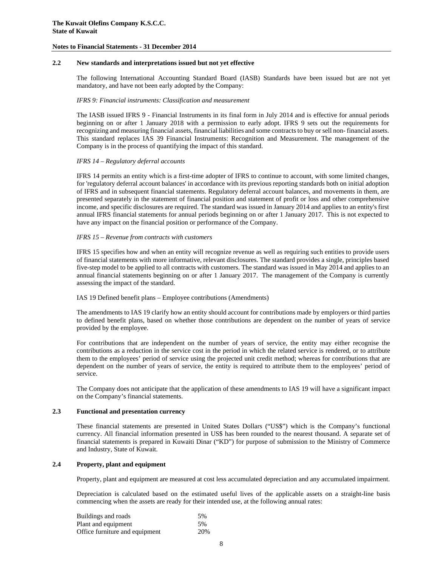#### **2.2 New standards and interpretations issued but not yet effective**

The following International Accounting Standard Board (IASB) Standards have been issued but are not yet mandatory, and have not been early adopted by the Company:

#### *IFRS 9: Financial instruments: Classification and measurement*

The IASB issued IFRS 9 - Financial Instruments in its final form in July 2014 and is effective for annual periods beginning on or after 1 January 2018 with a permission to early adopt. IFRS 9 sets out the requirements for recognizing and measuring financial assets, financial liabilities and some contracts to buy or sell non- financial assets. This standard replaces IAS 39 Financial Instruments: Recognition and Measurement. The management of the Company is in the process of quantifying the impact of this standard.

#### *IFRS 14 – Regulatory deferral accounts*

IFRS 14 permits an entity which is a first-time adopter of IFRS to continue to account, with some limited changes, for 'regulatory deferral account balances' in accordance with its previous reporting standards both on initial adoption of IFRS and in subsequent financial statements. Regulatory deferral account balances, and movements in them, are presented separately in the statement of financial position and statement of profit or loss and other comprehensive income, and specific disclosures are required. The standard was issued in January 2014 and applies to an entity's first annual IFRS financial statements for annual periods beginning on or after 1 January 2017. This is not expected to have any impact on the financial position or performance of the Company.

#### *IFRS 15 – Revenue from contracts with customers*

IFRS 15 specifies how and when an entity will recognize revenue as well as requiring such entities to provide users of financial statements with more informative, relevant disclosures. The standard provides a single, principles based five-step model to be applied to all contracts with customers. The standard was issued in May 2014 and applies to an annual financial statements beginning on or after 1 January 2017. The management of the Company is currently assessing the impact of the standard.

#### IAS 19 Defined benefit plans – Employee contributions (Amendments)

The amendments to IAS 19 clarify how an entity should account for contributions made by employers or third parties to defined benefit plans, based on whether those contributions are dependent on the number of years of service provided by the employee.

For contributions that are independent on the number of years of service, the entity may either recognise the contributions as a reduction in the service cost in the period in which the related service is rendered, or to attribute them to the employees' period of service using the projected unit credit method; whereas for contributions that are dependent on the number of years of service, the entity is required to attribute them to the employees' period of service.

The Company does not anticipate that the application of these amendments to IAS 19 will have a significant impact on the Company's financial statements.

#### **2.3 Functional and presentation currency**

These financial statements are presented in United States Dollars ("US\$") which is the Company's functional currency. All financial information presented in US\$ has been rounded to the nearest thousand. A separate set of financial statements is prepared in Kuwaiti Dinar ("KD") for purpose of submission to the Ministry of Commerce and Industry, State of Kuwait.

#### **2.4 Property, plant and equipment**

Property, plant and equipment are measured at cost less accumulated depreciation and any accumulated impairment.

Depreciation is calculated based on the estimated useful lives of the applicable assets on a straight-line basis commencing when the assets are ready for their intended use, at the following annual rates:

| Buildings and roads            | .5% |
|--------------------------------|-----|
| Plant and equipment            | .5% |
| Office furniture and equipment | 20% |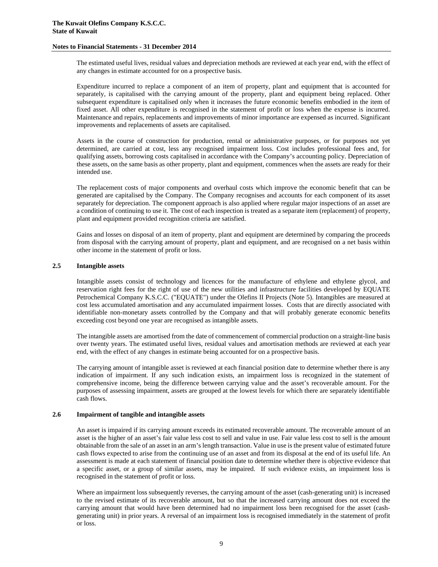The estimated useful lives, residual values and depreciation methods are reviewed at each year end, with the effect of any changes in estimate accounted for on a prospective basis.

Expenditure incurred to replace a component of an item of property, plant and equipment that is accounted for separately, is capitalised with the carrying amount of the property, plant and equipment being replaced. Other subsequent expenditure is capitalised only when it increases the future economic benefits embodied in the item of fixed asset. All other expenditure is recognised in the statement of profit or loss when the expense is incurred. Maintenance and repairs, replacements and improvements of minor importance are expensed as incurred. Significant improvements and replacements of assets are capitalised.

Assets in the course of construction for production, rental or administrative purposes, or for purposes not yet determined, are carried at cost, less any recognised impairment loss. Cost includes professional fees and, for qualifying assets, borrowing costs capitalised in accordance with the Company's accounting policy. Depreciation of these assets, on the same basis as other property, plant and equipment, commences when the assets are ready for their intended use.

The replacement costs of major components and overhaul costs which improve the economic benefit that can be generated are capitalised by the Company. The Company recognises and accounts for each component of its asset separately for depreciation. The component approach is also applied where regular major inspections of an asset are a condition of continuing to use it. The cost of each inspection is treated as a separate item (replacement) of property, plant and equipment provided recognition criteria are satisfied.

Gains and losses on disposal of an item of property, plant and equipment are determined by comparing the proceeds from disposal with the carrying amount of property, plant and equipment, and are recognised on a net basis within other income in the statement of profit or loss.

#### **2.5 Intangible assets**

Intangible assets consist of technology and licences for the manufacture of ethylene and ethylene glycol, and reservation right fees for the right of use of the new utilities and infrastructure facilities developed by EQUATE Petrochemical Company K.S.C.C. ("EQUATE") under the Olefins II Projects (Note 5). Intangibles are measured at cost less accumulated amortisation and any accumulated impairment losses. Costs that are directly associated with identifiable non-monetary assets controlled by the Company and that will probably generate economic benefits exceeding cost beyond one year are recognised as intangible assets.

The intangible assets are amortised from the date of commencement of commercial production on a straight-line basis over twenty years. The estimated useful lives, residual values and amortisation methods are reviewed at each year end, with the effect of any changes in estimate being accounted for on a prospective basis.

The carrying amount of intangible asset is reviewed at each financial position date to determine whether there is any indication of impairment. If any such indication exists, an impairment loss is recognized in the statement of comprehensive income, being the difference between carrying value and the asset's recoverable amount. For the purposes of assessing impairment, assets are grouped at the lowest levels for which there are separately identifiable cash flows.

#### **2.6 Impairment of tangible and intangible assets**

An asset is impaired if its carrying amount exceeds its estimated recoverable amount. The recoverable amount of an asset is the higher of an asset's fair value less cost to sell and value in use. Fair value less cost to sell is the amount obtainable from the sale of an asset in an arm's length transaction. Value in use is the present value of estimated future cash flows expected to arise from the continuing use of an asset and from its disposal at the end of its useful life. An assessment is made at each statement of financial position date to determine whether there is objective evidence that a specific asset, or a group of similar assets, may be impaired. If such evidence exists, an impairment loss is recognised in the statement of profit or loss.

Where an impairment loss subsequently reverses, the carrying amount of the asset (cash-generating unit) is increased to the revised estimate of its recoverable amount, but so that the increased carrying amount does not exceed the carrying amount that would have been determined had no impairment loss been recognised for the asset (cashgenerating unit) in prior years. A reversal of an impairment loss is recognised immediately in the statement of profit or loss.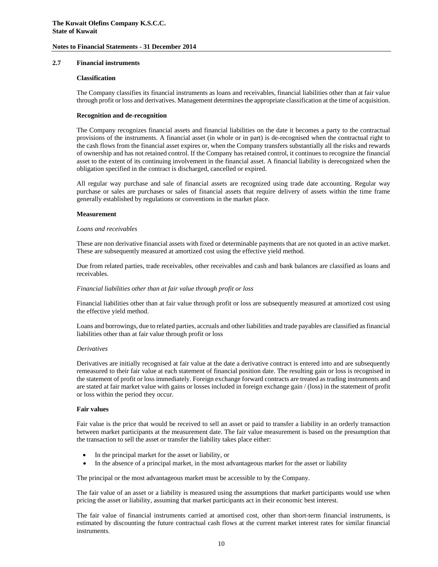#### **2.7 Financial instruments**

#### **Classification**

The Company classifies its financial instruments as loans and receivables, financial liabilities other than at fair value through profit or loss and derivatives. Management determines the appropriate classification at the time of acquisition.

#### **Recognition and de-recognition**

The Company recognizes financial assets and financial liabilities on the date it becomes a party to the contractual provisions of the instruments. A financial asset (in whole or in part) is de-recognised when the contractual right to the cash flows from the financial asset expires or, when the Company transfers substantially all the risks and rewards of ownership and has not retained control. If the Company has retained control, it continues to recognize the financial asset to the extent of its continuing involvement in the financial asset. A financial liability is derecognized when the obligation specified in the contract is discharged, cancelled or expired.

All regular way purchase and sale of financial assets are recognized using trade date accounting. Regular way purchase or sales are purchases or sales of financial assets that require delivery of assets within the time frame generally established by regulations or conventions in the market place.

#### **Measurement**

#### *Loans and receivables*

These are non derivative financial assets with fixed or determinable payments that are not quoted in an active market. These are subsequently measured at amortized cost using the effective yield method.

Due from related parties, trade receivables, other receivables and cash and bank balances are classified as loans and receivables.

#### *Financial liabilities other than at fair value through profit or loss*

Financial liabilities other than at fair value through profit or loss are subsequently measured at amortized cost using the effective yield method.

Loans and borrowings, due to related parties, accruals and other liabilities and trade payables are classified as financial liabilities other than at fair value through profit or loss

#### *Derivatives*

Derivatives are initially recognised at fair value at the date a derivative contract is entered into and are subsequently remeasured to their fair value at each statement of financial position date. The resulting gain or loss is recognised in the statement of profit or loss immediately. Foreign exchange forward contracts are treated as trading instruments and are stated at fair market value with gains or losses included in foreign exchange gain / (loss) in the statement of profit or loss within the period they occur.

#### **Fair values**

Fair value is the price that would be received to sell an asset or paid to transfer a liability in an orderly transaction between market participants at the measurement date. The fair value measurement is based on the presumption that the transaction to sell the asset or transfer the liability takes place either:

- In the principal market for the asset or liability, or
- In the absence of a principal market, in the most advantageous market for the asset or liability

The principal or the most advantageous market must be accessible to by the Company.

The fair value of an asset or a liability is measured using the assumptions that market participants would use when pricing the asset or liability, assuming that market participants act in their economic best interest.

The fair value of financial instruments carried at amortised cost, other than short-term financial instruments, is estimated by discounting the future contractual cash flows at the current market interest rates for similar financial instruments.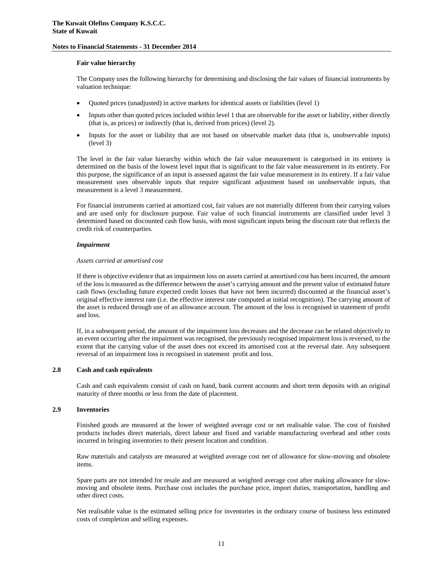#### **Fair value hierarchy**

The Company uses the following hierarchy for determining and disclosing the fair values of financial instruments by valuation technique:

- Quoted prices (unadjusted) in active markets for identical assets or liabilities (level 1)
- Inputs other than quoted prices included within level 1 that are observable for the asset or liability, either directly (that is, as prices) or indirectly (that is, derived from prices) (level 2).
- Inputs for the asset or liability that are not based on observable market data (that is, unobservable inputs) (level 3)

The level in the fair value hierarchy within which the fair value measurement is categorised in its entirety is determined on the basis of the lowest level input that is significant to the fair value measurement in its entirety. For this purpose, the significance of an input is assessed against the fair value measurement in its entirety. If a fair value measurement uses observable inputs that require significant adjustment based on unobservable inputs, that measurement is a level 3 measurement.

For financial instruments carried at amortized cost, fair values are not materially different from their carrying values and are used only for disclosure purpose. Fair value of such financial instruments are classified under level 3 determined based on discounted cash flow basis, with most significant inputs being the discount rate that reflects the credit risk of counterparties.

#### *Impairment*

#### *Assets carried at amortised cost*

If there is objective evidence that an impairment loss on assets carried at amortised cost has been incurred, the amount of the loss is measured as the difference between the asset's carrying amount and the present value of estimated future cash flows (excluding future expected credit losses that have not been incurred) discounted at the financial asset's original effective interest rate (i.e. the effective interest rate computed at initial recognition). The carrying amount of the asset is reduced through use of an allowance account. The amount of the loss is recognised in statement of profit and loss.

If, in a subsequent period, the amount of the impairment loss decreases and the decrease can be related objectively to an event occurring after the impairment was recognised, the previously recognised impairment loss is reversed, to the extent that the carrying value of the asset does not exceed its amortised cost at the reversal date. Any subsequent reversal of an impairment loss is recognised in statement profit and loss.

#### **2.8 Cash and cash equivalents**

Cash and cash equivalents consist of cash on hand, bank current accounts and short term deposits with an original maturity of three months or less from the date of placement.

#### **2.9 Inventories**

Finished goods are measured at the lower of weighted average cost or net realisable value. The cost of finished products includes direct materials, direct labour and fixed and variable manufacturing overhead and other costs incurred in bringing inventories to their present location and condition.

Raw materials and catalysts are measured at weighted average cost net of allowance for slow-moving and obsolete items.

Spare parts are not intended for resale and are measured at weighted average cost after making allowance for slowmoving and obsolete items. Purchase cost includes the purchase price, import duties, transportation, handling and other direct costs.

Net realisable value is the estimated selling price for inventories in the ordinary course of business less estimated costs of completion and selling expenses.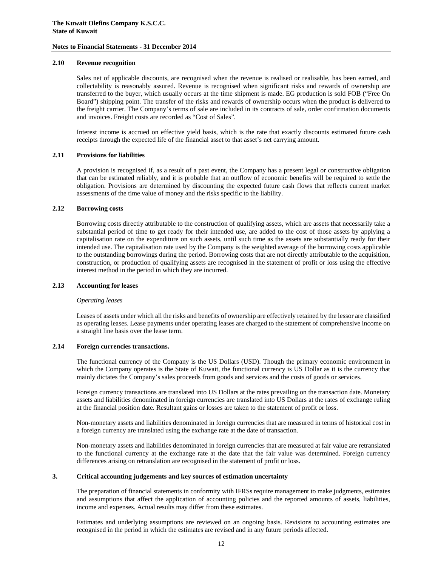#### **2.10 Revenue recognition**

Sales net of applicable discounts, are recognised when the revenue is realised or realisable, has been earned, and collectability is reasonably assured. Revenue is recognised when significant risks and rewards of ownership are transferred to the buyer, which usually occurs at the time shipment is made. EG production is sold FOB ("Free On Board") shipping point. The transfer of the risks and rewards of ownership occurs when the product is delivered to the freight carrier. The Company's terms of sale are included in its contracts of sale, order confirmation documents and invoices. Freight costs are recorded as "Cost of Sales".

Interest income is accrued on effective yield basis, which is the rate that exactly discounts estimated future cash receipts through the expected life of the financial asset to that asset's net carrying amount.

#### **2.11 Provisions for liabilities**

A provision is recognised if, as a result of a past event, the Company has a present legal or constructive obligation that can be estimated reliably, and it is probable that an outflow of economic benefits will be required to settle the obligation. Provisions are determined by discounting the expected future cash flows that reflects current market assessments of the time value of money and the risks specific to the liability.

#### **2.12 Borrowing costs**

Borrowing costs directly attributable to the construction of qualifying assets, which are assets that necessarily take a substantial period of time to get ready for their intended use, are added to the cost of those assets by applying a capitalisation rate on the expenditure on such assets, until such time as the assets are substantially ready for their intended use. The capitalisation rate used by the Company is the weighted average of the borrowing costs applicable to the outstanding borrowings during the period. Borrowing costs that are not directly attributable to the acquisition, construction, or production of qualifying assets are recognised in the statement of profit or loss using the effective interest method in the period in which they are incurred.

#### **2.13 Accounting for leases**

#### *Operating leases*

Leases of assets under which all the risks and benefits of ownership are effectively retained by the lessor are classified as operating leases. Lease payments under operating leases are charged to the statement of comprehensive income on a straight line basis over the lease term.

#### **2.14 Foreign currencies transactions.**

The functional currency of the Company is the US Dollars (USD). Though the primary economic environment in which the Company operates is the State of Kuwait, the functional currency is US Dollar as it is the currency that mainly dictates the Company's sales proceeds from goods and services and the costs of goods or services.

Foreign currency transactions are translated into US Dollars at the rates prevailing on the transaction date. Monetary assets and liabilities denominated in foreign currencies are translated into US Dollars at the rates of exchange ruling at the financial position date. Resultant gains or losses are taken to the statement of profit or loss.

Non-monetary assets and liabilities denominated in foreign currencies that are measured in terms of historical cost in a foreign currency are translated using the exchange rate at the date of transaction.

Non-monetary assets and liabilities denominated in foreign currencies that are measured at fair value are retranslated to the functional currency at the exchange rate at the date that the fair value was determined. Foreign currency differences arising on retranslation are recognised in the statement of profit or loss.

#### **3. Critical accounting judgements and key sources of estimation uncertainty**

The preparation of financial statements in conformity with IFRSs require management to make judgments, estimates and assumptions that affect the application of accounting policies and the reported amounts of assets, liabilities, income and expenses. Actual results may differ from these estimates.

Estimates and underlying assumptions are reviewed on an ongoing basis. Revisions to accounting estimates are recognised in the period in which the estimates are revised and in any future periods affected.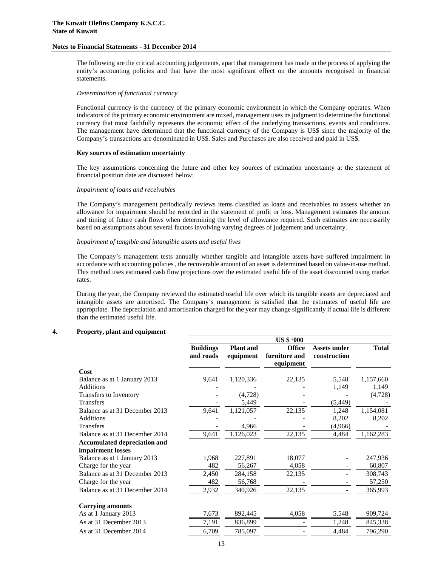The following are the critical accounting judgements, apart that management has made in the process of applying the entity's accounting policies and that have the most significant effect on the amounts recognised in financial statements.

#### *Determination of functional currency*

Functional currency is the currency of the primary economic environment in which the Company operates. When indicators of the primary economic environment are mixed, management uses its judgment to determine the functional currency that most faithfully represents the economic effect of the underlying transactions, events and conditions. The management have determined that the functional currency of the Company is US\$ since the majority of the Company's transactions are denominated in US\$. Sales and Purchases are also received and paid in US\$.

#### **Key sources of estimation uncertainty**

The key assumptions concerning the future and other key sources of estimation uncertainty at the statement of financial position date are discussed below:

#### *Impairment of loans and receivables*

The Company's management periodically reviews items classified as loans and receivables to assess whether an allowance for impairment should be recorded in the statement of profit or loss. Management estimates the amount and timing of future cash flows when determining the level of allowance required. Such estimates are necessarily based on assumptions about several factors involving varying degrees of judgement and uncertainty.

#### *Impairment of tangible and intangible assets and useful lives*

The Company's management tests annually whether tangible and intangible assets have suffered impairment in accordance with accounting policies , the recoverable amount of an asset is determined based on value-in-use method. This method uses estimated cash flow projections over the estimated useful life of the asset discounted using market rates.

During the year, the Company reviewed the estimated useful life over which its tangible assets are depreciated and intangible assets are amortised. The Company's management is satisfied that the estimates of useful life are appropriate. The depreciation and amortisation charged for the year may change significantly if actual life is different than the estimated useful life.

**US \$ '000** 

#### **4. Property, plant and equipment**

|                                     | <b>Buildings</b><br>and roads | <b>Plant</b> and<br>equipment | <b>Office</b><br>furniture and<br>equipment | <b>Assets under</b><br>construction | <b>Total</b> |
|-------------------------------------|-------------------------------|-------------------------------|---------------------------------------------|-------------------------------------|--------------|
| Cost                                |                               |                               |                                             |                                     |              |
| Balance as at 1 January 2013        | 9,641                         | 1,120,336                     | 22,135                                      | 5,548                               | 1,157,660    |
| Additions                           |                               |                               |                                             | 1,149                               | 1,149        |
| Transfers to Inventory              |                               | (4,728)                       |                                             |                                     | (4,728)      |
| <b>Transfers</b>                    |                               | 5,449                         |                                             | (5, 449)                            |              |
| Balance as at 31 December 2013      | 9,641                         | 1,121,057                     | 22,135                                      | 1,248                               | 1,154,081    |
| Additions                           |                               |                               |                                             | 8,202                               | 8,202        |
| <b>Transfers</b>                    |                               | 4,966                         |                                             | (4,966)                             |              |
| Balance as at 31 December 2014      | 9,641                         | 1,126,023                     | 22,135                                      | 4,484                               | 1,162,283    |
| <b>Accumulated depreciation and</b> |                               |                               |                                             |                                     |              |
| impairment losses                   |                               |                               |                                             |                                     |              |
| Balance as at 1 January 2013        | 1,968                         | 227,891                       | 18,077                                      |                                     | 247,936      |
| Charge for the year                 | 482                           | 56,267                        | 4,058                                       |                                     | 60,807       |
| Balance as at 31 December 2013      | 2,450                         | 284,158                       | 22,135                                      |                                     | 308,743      |
| Charge for the year                 | 482                           | 56,768                        |                                             |                                     | 57,250       |
| Balance as at 31 December 2014      | 2,932                         | 340,926                       | 22,135                                      |                                     | 365,993      |
| <b>Carrying amounts</b>             |                               |                               |                                             |                                     |              |
| As at 1 January 2013                | 7,673                         | 892,445                       | 4,058                                       | 5,548                               | 909,724      |
| As at 31 December 2013              | 7,191                         | 836,899                       |                                             | 1,248                               | 845,338      |
| As at 31 December 2014              | 6,709                         | 785,097                       |                                             | 4,484                               | 796,290      |
|                                     |                               |                               |                                             |                                     |              |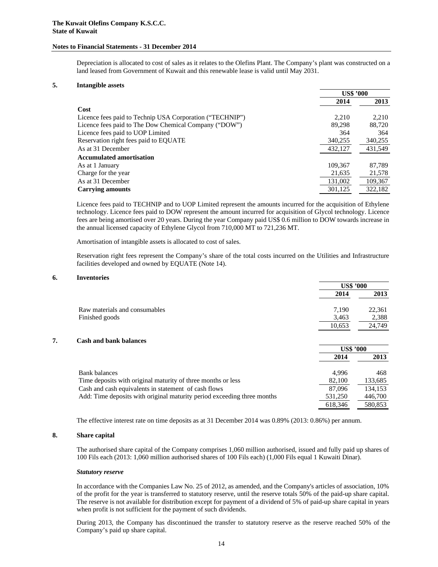Depreciation is allocated to cost of sales as it relates to the Olefins Plant. The Company's plant was constructed on a land leased from Government of Kuwait and this renewable lease is valid until May 2031.

#### **5. Intangible assets**

|                                                          | <b>US\$ '000</b> |         |
|----------------------------------------------------------|------------------|---------|
|                                                          | 2014             | 2013    |
| Cost                                                     |                  |         |
| Licence fees paid to Technip USA Corporation ("TECHNIP") | 2.210            | 2,210   |
| Licence fees paid to The Dow Chemical Company ("DOW")    | 89.298           | 88,720  |
| Licence fees paid to UOP Limited                         | 364              | 364     |
| Reservation right fees paid to EQUATE                    | 340,255          | 340,255 |
| As at 31 December                                        | 432,127          | 431,549 |
| <b>Accumulated amortisation</b>                          |                  |         |
| As at 1 January                                          | 109,367          | 87,789  |
| Charge for the year                                      | 21,635           | 21,578  |
| As at 31 December                                        | 131,002          | 109,367 |
| <b>Carrying amounts</b>                                  | 301,125          | 322,182 |

Licence fees paid to TECHNIP and to UOP Limited represent the amounts incurred for the acquisition of Ethylene technology. Licence fees paid to DOW represent the amount incurred for acquisition of Glycol technology. Licence fees are being amortised over 20 years. During the year Company paid US\$ 0.6 million to DOW towards increase in the annual licensed capacity of Ethylene Glycol from 710,000 MT to 721,236 MT.

Amortisation of intangible assets is allocated to cost of sales.

Reservation right fees represent the Company's share of the total costs incurred on the Utilities and Infrastructure facilities developed and owned by EQUATE (Note 14).

#### **6. Inventories**

|    |                                                                         | <b>US\$ '000</b> |         |
|----|-------------------------------------------------------------------------|------------------|---------|
|    |                                                                         | 2014             | 2013    |
|    | Raw materials and consumables                                           | 7.190            | 22,361  |
|    | Finished goods                                                          | 3,463            | 2,388   |
|    |                                                                         | 10,653           | 24,749  |
| 7. | <b>Cash and bank balances</b>                                           |                  |         |
|    |                                                                         | <b>US\$ '000</b> |         |
|    |                                                                         | 2014             | 2013    |
|    | <b>Bank balances</b>                                                    | 4.996            | 468     |
|    | Time deposits with original maturity of three months or less            | 82,100           | 133,685 |
|    | Cash and cash equivalents in statement of cash flows                    | 87,096           | 134,153 |
|    | Add: Time deposits with original maturity period exceeding three months | 531,250          | 446,700 |
|    |                                                                         | 618,346          | 580,853 |

The effective interest rate on time deposits as at 31 December 2014 was 0.89% (2013: 0.86%) per annum.

#### **8. Share capital**

The authorised share capital of the Company comprises 1,060 million authorised, issued and fully paid up shares of 100 Fils each (2013: 1,060 million authorised shares of 100 Fils each) (1,000 Fils equal 1 Kuwaiti Dinar).

#### *Statutory reserve*

In accordance with the Companies Law No. 25 of 2012, as amended, and the Company's articles of association, 10% of the profit for the year is transferred to statutory reserve, until the reserve totals 50% of the paid-up share capital. The reserve is not available for distribution except for payment of a dividend of 5% of paid-up share capital in years when profit is not sufficient for the payment of such dividends.

During 2013, the Company has discontinued the transfer to statutory reserve as the reserve reached 50% of the Company's paid up share capital.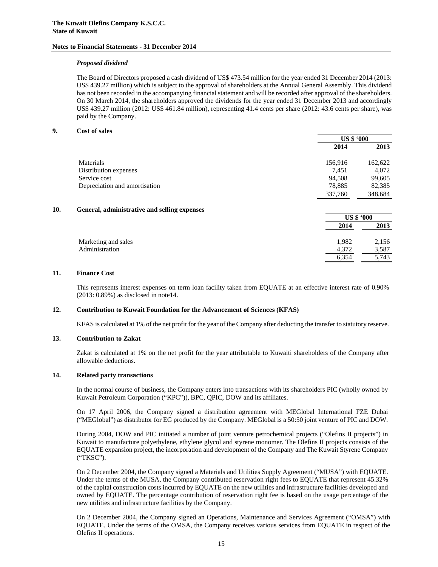#### *Proposed dividend*

The Board of Directors proposed a cash dividend of US\$ 473.54 million for the year ended 31 December 2014 (2013: US\$ 439.27 million) which is subject to the approval of shareholders at the Annual General Assembly. This dividend has not been recorded in the accompanying financial statement and will be recorded after approval of the shareholders. On 30 March 2014, the shareholders approved the dividends for the year ended 31 December 2013 and accordingly US\$ 439.27 million (2012: US\$ 461.84 million), representing 41.4 cents per share (2012: 43.6 cents per share), was paid by the Company.

#### **9. Cost of sales**

|                               | <b>US \$ '000</b> |         |
|-------------------------------|-------------------|---------|
|                               | 2014              | 2013    |
| Materials                     | 156,916           | 162,622 |
| Distribution expenses         | 7,451             | 4,072   |
| Service cost                  | 94,508            | 99,605  |
| Depreciation and amortisation | 78,885            | 82,385  |
|                               | 337,760           | 348,684 |
|                               |                   |         |

#### **10. General, administrative and selling expenses**

|                     | <b>US \$ '000</b> |       |
|---------------------|-------------------|-------|
|                     | 2014              | 2013  |
| Marketing and sales | 1,982             | 2,156 |
| Administration      | 4,372             | 3,587 |
|                     | 6,354             | 5.743 |

#### **11. Finance Cost**

This represents interest expenses on term loan facility taken from EQUATE at an effective interest rate of 0.90% (2013: 0.89%) as disclosed in note14.

#### **12. Contribution to Kuwait Foundation for the Advancement of Sciences (KFAS)**

KFAS is calculated at 1% of the net profit for the year of the Company after deducting the transfer to statutory reserve.

#### **13. Contribution to Zakat**

Zakat is calculated at 1% on the net profit for the year attributable to Kuwaiti shareholders of the Company after allowable deductions.

#### **14. Related party transactions**

In the normal course of business, the Company enters into transactions with its shareholders PIC (wholly owned by Kuwait Petroleum Corporation ("KPC")), BPC, QPIC, DOW and its affiliates.

On 17 April 2006, the Company signed a distribution agreement with MEGlobal International FZE Dubai ("MEGlobal") as distributor for EG produced by the Company. MEGlobal is a 50:50 joint venture of PIC and DOW.

During 2004, DOW and PIC initiated a number of joint venture petrochemical projects ("Olefins II projects") in Kuwait to manufacture polyethylene, ethylene glycol and styrene monomer. The Olefins II projects consists of the EQUATE expansion project, the incorporation and development of the Company and The Kuwait Styrene Company ("TKSC").

On 2 December 2004, the Company signed a Materials and Utilities Supply Agreement ("MUSA") with EQUATE. Under the terms of the MUSA, the Company contributed reservation right fees to EQUATE that represent 45.32% of the capital construction costs incurred by EQUATE on the new utilities and infrastructure facilities developed and owned by EQUATE. The percentage contribution of reservation right fee is based on the usage percentage of the new utilities and infrastructure facilities by the Company.

On 2 December 2004, the Company signed an Operations, Maintenance and Services Agreement ("OMSA") with EQUATE. Under the terms of the OMSA, the Company receives various services from EQUATE in respect of the Olefins II operations.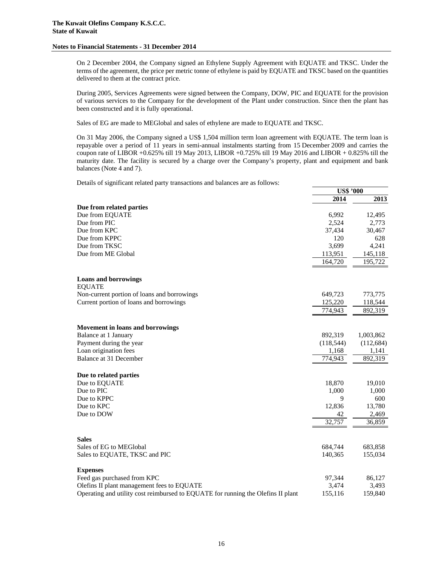On 2 December 2004, the Company signed an Ethylene Supply Agreement with EQUATE and TKSC. Under the terms of the agreement, the price per metric tonne of ethylene is paid by EQUATE and TKSC based on the quantities delivered to them at the contract price.

During 2005, Services Agreements were signed between the Company, DOW, PIC and EQUATE for the provision of various services to the Company for the development of the Plant under construction. Since then the plant has been constructed and it is fully operational.

Sales of EG are made to MEGlobal and sales of ethylene are made to EQUATE and TKSC.

On 31 May 2006, the Company signed a US\$ 1,504 million term loan agreement with EQUATE. The term loan is repayable over a period of 11 years in semi-annual instalments starting from 15 December 2009 and carries the coupon rate of LIBOR +0.625% till 19 May 2013, LIBOR +0.725% till 19 May 2016 and LIBOR + 0.825% till the maturity date. The facility is secured by a charge over the Company's property, plant and equipment and bank balances (Note 4 and 7).

Details of significant related party transactions and balances are as follows:

|                                                                                  | <b>US\$ '000</b> |            |
|----------------------------------------------------------------------------------|------------------|------------|
|                                                                                  | 2014             | 2013       |
| Due from related parties                                                         |                  |            |
| Due from EQUATE                                                                  | 6.992            | 12,495     |
| Due from PIC                                                                     | 2,524            | 2,773      |
| Due from KPC                                                                     | 37,434           | 30,467     |
| Due from KPPC                                                                    | 120              | 628        |
| Due from TKSC                                                                    | 3,699            | 4,241      |
| Due from ME Global                                                               | 113,951          | 145,118    |
|                                                                                  | 164,720          | 195,722    |
| <b>Loans and borrowings</b><br><b>EQUATE</b>                                     |                  |            |
| Non-current portion of loans and borrowings                                      | 649,723          | 773,775    |
| Current portion of loans and borrowings                                          | 125,220          | 118,544    |
|                                                                                  | 774,943          | 892,319    |
| Movement in loans and borrowings                                                 |                  |            |
| Balance at 1 January                                                             | 892,319          | 1,003,862  |
| Payment during the year                                                          | (118, 544)       | (112, 684) |
| Loan origination fees                                                            | 1,168            | 1,141      |
| Balance at 31 December                                                           | 774,943          | 892,319    |
| Due to related parties                                                           |                  |            |
| Due to EQUATE                                                                    | 18,870           | 19,010     |
| Due to PIC                                                                       | 1,000            | 1,000      |
| Due to KPPC                                                                      | 9                | 600        |
| Due to KPC                                                                       | 12,836           | 13,780     |
| Due to DOW                                                                       | 42               | 2,469      |
|                                                                                  | 32,757           | 36,859     |
| <b>Sales</b>                                                                     |                  |            |
| Sales of EG to MEGlobal                                                          | 684,744          | 683,858    |
| Sales to EQUATE, TKSC and PIC                                                    | 140,365          | 155,034    |
| <b>Expenses</b>                                                                  |                  |            |
| Feed gas purchased from KPC                                                      | 97,344           | 86,127     |
| Olefins II plant management fees to EQUATE                                       | 3,474            | 3,493      |
| Operating and utility cost reimbursed to EQUATE for running the Olefins II plant | 155,116          | 159,840    |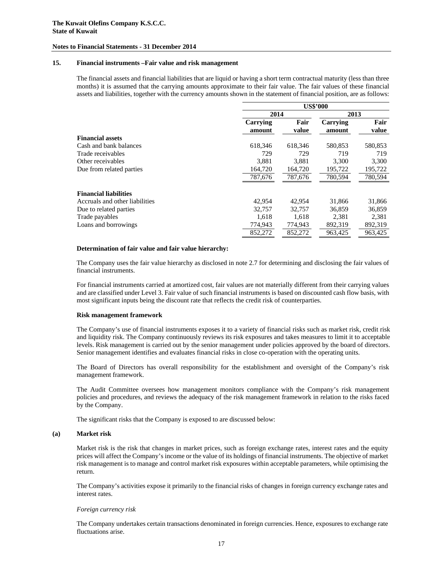#### **15. Financial instruments –Fair value and risk management**

The financial assets and financial liabilities that are liquid or having a short term contractual maturity (less than three months) it is assumed that the carrying amounts approximate to their fair value. The fair values of these financial assets and liabilities, together with the currency amounts shown in the statement of financial position, are as follows:

|                                |                    | <b>US\$'000</b> |                    |               |  |
|--------------------------------|--------------------|-----------------|--------------------|---------------|--|
|                                | 2014               |                 | 2013               |               |  |
|                                | Carrying<br>amount | Fair<br>value   | Carrying<br>amount | Fair<br>value |  |
| <b>Financial assets</b>        |                    |                 |                    |               |  |
| Cash and bank balances         | 618,346            | 618,346         | 580,853            | 580,853       |  |
| Trade receivables              | 729                | 729             | 719                | 719           |  |
| Other receivables              | 3,881              | 3,881           | 3,300              | 3,300         |  |
| Due from related parties       | 164,720            | 164,720         | 195,722            | 195,722       |  |
|                                | 787,676            | 787,676         | 780,594            | 780,594       |  |
| <b>Financial liabilities</b>   |                    |                 |                    |               |  |
| Accruals and other liabilities | 42,954             | 42.954          | 31,866             | 31,866        |  |
| Due to related parties         | 32,757             | 32,757          | 36,859             | 36,859        |  |
| Trade payables                 | 1,618              | 1,618           | 2,381              | 2,381         |  |
| Loans and borrowings           | 774,943            | 774,943         | 892,319            | 892,319       |  |
|                                | 852,272            | 852,272         | 963.425            | 963.425       |  |

#### **Determination of fair value and fair value hierarchy:**

The Company uses the fair value hierarchy as disclosed in note 2.7 for determining and disclosing the fair values of financial instruments.

For financial instruments carried at amortized cost, fair values are not materially different from their carrying values and are classified under Level 3. Fair value of such financial instruments is based on discounted cash flow basis, with most significant inputs being the discount rate that reflects the credit risk of counterparties.

#### **Risk management framework**

The Company's use of financial instruments exposes it to a variety of financial risks such as market risk, credit risk and liquidity risk. The Company continuously reviews its risk exposures and takes measures to limit it to acceptable levels. Risk management is carried out by the senior management under policies approved by the board of directors. Senior management identifies and evaluates financial risks in close co-operation with the operating units.

The Board of Directors has overall responsibility for the establishment and oversight of the Company's risk management framework.

The Audit Committee oversees how management monitors compliance with the Company's risk management policies and procedures, and reviews the adequacy of the risk management framework in relation to the risks faced by the Company.

The significant risks that the Company is exposed to are discussed below:

#### **(a) Market risk**

Market risk is the risk that changes in market prices, such as foreign exchange rates, interest rates and the equity prices will affect the Company's income or the value of its holdings of financial instruments. The objective of market risk management is to manage and control market risk exposures within acceptable parameters, while optimising the return.

The Company's activities expose it primarily to the financial risks of changes in foreign currency exchange rates and interest rates.

#### *Foreign currency risk*

The Company undertakes certain transactions denominated in foreign currencies. Hence, exposures to exchange rate fluctuations arise.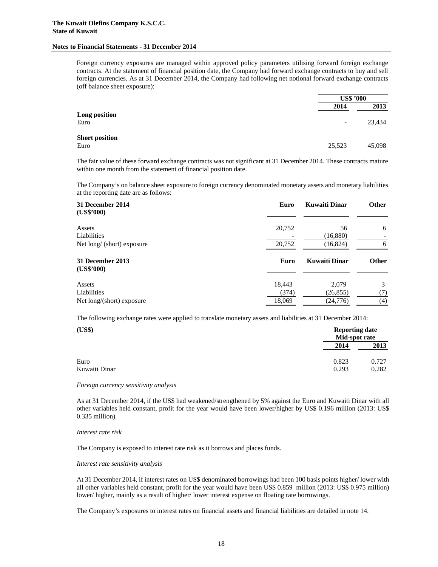Foreign currency exposures are managed within approved policy parameters utilising forward foreign exchange contracts. At the statement of financial position date, the Company had forward exchange contracts to buy and sell foreign currencies. As at 31 December 2014, the Company had following net notional forward exchange contracts (off balance sheet exposure):

|                               |                          | <b>US\$ '000</b> |  |
|-------------------------------|--------------------------|------------------|--|
|                               | 2014                     | 2013             |  |
| Long position<br>Euro         | $\overline{\phantom{a}}$ | 23,434           |  |
| <b>Short position</b><br>Euro | 25,523                   | 45,098           |  |

The fair value of these forward exchange contracts was not significant at 31 December 2014. These contracts mature within one month from the statement of financial position date.

The Company's on balance sheet exposure to foreign currency denominated monetary assets and monetary liabilities at the reporting date are as follows:

| 31 December 2014<br>(US\$'000) | Euro   | <b>Kuwaiti Dinar</b> | <b>Other</b> |
|--------------------------------|--------|----------------------|--------------|
| Assets                         | 20,752 | 56                   | 6            |
| Liabilities                    |        | (16,880)             |              |
| Net long/ (short) exposure     | 20,752 | (16, 824)            | 6            |
| 31 December 2013<br>(US\$'000) | Euro   | Kuwaiti Dinar        | <b>Other</b> |
| Assets                         | 18,443 | 2,079                | 3            |
| Liabilities                    | (374)  | (26, 855)            | (7)          |
|                                |        |                      |              |

The following exchange rates were applied to translate monetary assets and liabilities at 31 December 2014:

| (US\$)        | <b>Reporting date</b><br>Mid-spot rate |       |
|---------------|----------------------------------------|-------|
|               | 2014                                   | 2013  |
| Euro          | 0.823                                  | 0.727 |
| Kuwaiti Dinar | 0.293                                  | 0.282 |

*Foreign currency sensitivity analysis*

As at 31 December 2014, if the US\$ had weakened/strengthened by 5% against the Euro and Kuwaiti Dinar with all other variables held constant, profit for the year would have been lower/higher by US\$ 0.196 million (2013: US\$ 0.335 million).

*Interest rate risk* 

The Company is exposed to interest rate risk as it borrows and places funds.

*Interest rate sensitivity analysis* 

At 31 December 2014, if interest rates on US\$ denominated borrowings had been 100 basis points higher/ lower with all other variables held constant, profit for the year would have been US\$ 0.859 million (2013: US\$ 0.975 million) lower/ higher, mainly as a result of higher/ lower interest expense on floating rate borrowings.

The Company's exposures to interest rates on financial assets and financial liabilities are detailed in note 14.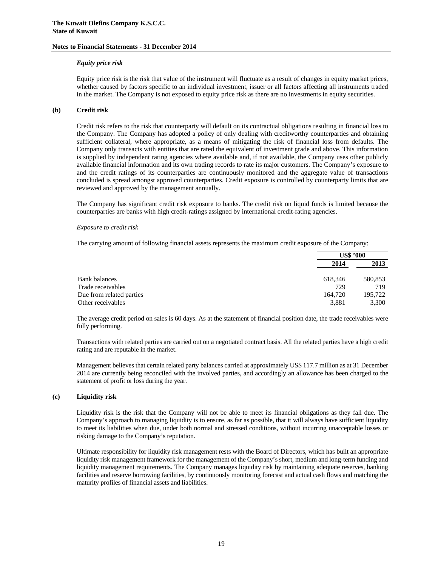#### *Equity price risk*

Equity price risk is the risk that value of the instrument will fluctuate as a result of changes in equity market prices, whether caused by factors specific to an individual investment, issuer or all factors affecting all instruments traded in the market. The Company is not exposed to equity price risk as there are no investments in equity securities.

#### **(b) Credit risk**

Credit risk refers to the risk that counterparty will default on its contractual obligations resulting in financial loss to the Company. The Company has adopted a policy of only dealing with creditworthy counterparties and obtaining sufficient collateral, where appropriate, as a means of mitigating the risk of financial loss from defaults. The Company only transacts with entities that are rated the equivalent of investment grade and above. This information is supplied by independent rating agencies where available and, if not available, the Company uses other publicly available financial information and its own trading records to rate its major customers. The Company's exposure to and the credit ratings of its counterparties are continuously monitored and the aggregate value of transactions concluded is spread amongst approved counterparties. Credit exposure is controlled by counterparty limits that are reviewed and approved by the management annually.

The Company has significant credit risk exposure to banks. The credit risk on liquid funds is limited because the counterparties are banks with high credit-ratings assigned by international credit-rating agencies.

#### *Exposure to credit risk*

The carrying amount of following financial assets represents the maximum credit exposure of the Company:

|                          | US\$ '000 |         |
|--------------------------|-----------|---------|
|                          | 2014      | 2013    |
| Bank balances            | 618,346   | 580,853 |
| Trade receivables        | 729       | 719     |
| Due from related parties | 164,720   | 195,722 |
| Other receivables        | 3,881     | 3,300   |

The average credit period on sales is 60 days. As at the statement of financial position date, the trade receivables were fully performing.

Transactions with related parties are carried out on a negotiated contract basis. All the related parties have a high credit rating and are reputable in the market.

Management believes that certain related party balances carried at approximately US\$ 117.7 million as at 31 December 2014 are currently being reconciled with the involved parties, and accordingly an allowance has been charged to the statement of profit or loss during the year.

#### **(c) Liquidity risk**

Liquidity risk is the risk that the Company will not be able to meet its financial obligations as they fall due. The Company's approach to managing liquidity is to ensure, as far as possible, that it will always have sufficient liquidity to meet its liabilities when due, under both normal and stressed conditions, without incurring unacceptable losses or risking damage to the Company's reputation.

Ultimate responsibility for liquidity risk management rests with the Board of Directors, which has built an appropriate liquidity risk management framework for the management of the Company's short, medium and long-term funding and liquidity management requirements. The Company manages liquidity risk by maintaining adequate reserves, banking facilities and reserve borrowing facilities, by continuously monitoring forecast and actual cash flows and matching the maturity profiles of financial assets and liabilities.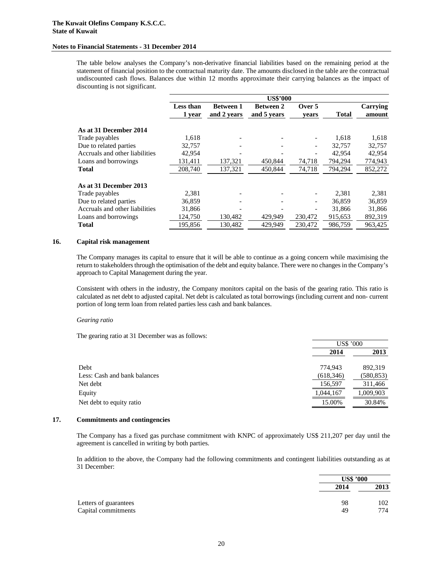The table below analyses the Company's non-derivative financial liabilities based on the remaining period at the statement of financial position to the contractual maturity date. The amounts disclosed in the table are the contractual undiscounted cash flows. Balances due within 12 months approximate their carrying balances as the impact of discounting is not significant.

|                                | <b>US\$'000</b>  |                  |                  |                          |              |          |
|--------------------------------|------------------|------------------|------------------|--------------------------|--------------|----------|
|                                | <b>Less than</b> | <b>Between 1</b> | <b>Between 2</b> | Over 5                   |              | Carrying |
|                                | 1 year           | and 2 years      | and 5 years      | vears                    | <b>Total</b> | amount   |
| As at 31 December 2014         |                  |                  |                  |                          |              |          |
| Trade payables                 | 1,618            |                  |                  |                          | 1,618        | 1,618    |
| Due to related parties         | 32,757           |                  |                  | $\overline{\phantom{a}}$ | 32,757       | 32,757   |
| Accruals and other liabilities | 42,954           |                  |                  |                          | 42.954       | 42,954   |
| Loans and borrowings           | 131,411          | 137,321          | 450,844          | 74,718                   | 794,294      | 774,943  |
| <b>Total</b>                   | 208,740          | 137,321          | 450,844          | 74,718                   | 794,294      | 852,272  |
| As at 31 December 2013         |                  |                  |                  |                          |              |          |
| Trade payables                 | 2,381            |                  |                  |                          | 2,381        | 2,381    |
| Due to related parties         | 36,859           |                  |                  |                          | 36,859       | 36,859   |
| Accruals and other liabilities | 31,866           |                  |                  |                          | 31,866       | 31,866   |
| Loans and borrowings           | 124,750          | 130.482          | 429,949          | 230,472                  | 915,653      | 892,319  |
| <b>Total</b>                   | 195,856          | 130,482          | 429,949          | 230,472                  | 986,759      | 963,425  |

#### **16. Capital risk management**

The Company manages its capital to ensure that it will be able to continue as a going concern while maximising the return to stakeholders through the optimisation of the debt and equity balance. There were no changes in the Company's approach to Capital Management during the year.

Consistent with others in the industry, the Company monitors capital on the basis of the gearing ratio. This ratio is calculated as net debt to adjusted capital. Net debt is calculated as total borrowings (including current and non- current portion of long term loan from related parties less cash and bank balances.

#### *Gearing ratio*

The gearing ratio at 31 December was as follows:

|                              |            | <b>US\$ '000</b> |  |
|------------------------------|------------|------------------|--|
|                              | 2014       | 2013             |  |
| Debt                         | 774,943    | 892.319          |  |
| Less: Cash and bank balances | (618, 346) | (580, 853)       |  |
| Net debt                     | 156,597    | 311,466          |  |
| Equity                       | 1,044,167  | 1,009,903        |  |
| Net debt to equity ratio     | 15.00%     | 30.84%           |  |

#### **17. Commitments and contingencies**

The Company has a fixed gas purchase commitment with KNPC of approximately US\$ 211,207 per day until the agreement is cancelled in writing by both parties.

In addition to the above, the Company had the following commitments and contingent liabilities outstanding as at 31 December:

|                       |      | <b>US\$ '000</b> |
|-----------------------|------|------------------|
|                       | 2014 | 2013             |
| Letters of guarantees | 98   | 102              |
| Capital commitments   | 49   | 774              |